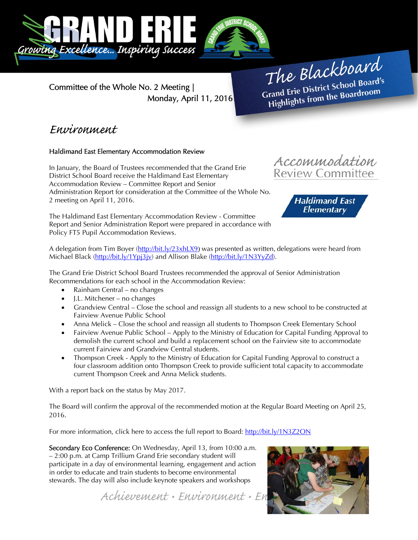



Committee of the Whole No. 2 Meeting | Monday, April 11, 2016

The Blackboard The Burner School Board's<br>Grand Erie District School Board's rand Erie District School Board<br>Highlights from the Boardroom

### Environment

#### Haldimand East Elementary Accommodation Review

In January, the Board of Trustees recommended that the Grand Erie District School Board receive the Haldimand East Elementary Accommodation Review – Committee Report and Senior Administration Report for consideration at the Committee of the Whole No. 2 meeting on April 11, 2016.





The Haldimand East Elementary Accommodation Review - Committee Report and Senior Administration Report were prepared in accordance with Policy FT5 Pupil Accommodation Reviews.

A delegation from Tim Boyer (http://bit.ly/23xhLX9) was presented as written, delegations were heard from Michael Black (http://bit.ly/1Ypj3jv) and Allison Blake (http://bit.ly/1N3YyZd).

The Grand Erie District School Board Trustees recommended the approval of Senior Administration Recommendations for each school in the Accommodation Review:

- Rainham Central no changes
- I.L. Mitchener no changes
- Grandview Central Close the school and reassign all students to a new school to be constructed at Fairview Avenue Public School
- Anna Melick Close the school and reassign all students to Thompson Creek Elementary School
- Fairview Avenue Public School Apply to the Ministry of Education for Capital Funding Approval to demolish the current school and build a replacement school on the Fairview site to accommodate current Fairview and Grandview Central students.
- Thompson Creek Apply to the Ministry of Education for Capital Funding Approval to construct a four classroom addition onto Thompson Creek to provide sufficient total capacity to accommodate current Thompson Creek and Anna Melick students.

With a report back on the status by May 2017.

The Board will confirm the approval of the recommended motion at the Regular Board Meeting on April 25, 2016.

For more information, click here to access the full report to Board: http://bit.ly/1N3Z2ON

Secondary Eco Conference: On Wednesday, April 13, from 10:00 a.m. – 2:00 p.m. at Camp Trillium Grand Erie secondary student will participate in a day of environmental learning, engagement and action in order to educate and train students to become environmental stewards. The day will also include keynote speakers and workshops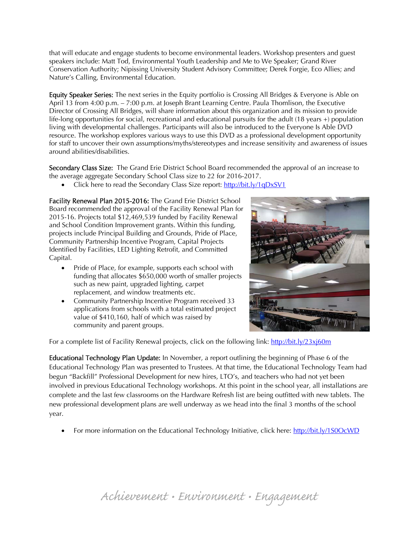that will educate and engage students to become environmental leaders. Workshop presenters and guest speakers include: Matt Tod, Environmental Youth Leadership and Me to We Speaker; Grand River Conservation Authority; Nipissing University Student Advisory Committee; Derek Forgie, Eco Allies; and Nature's Calling, Environmental Education.

Equity Speaker Series: The next series in the Equity portfolio is Crossing All Bridges & Everyone is Able on April 13 from 4:00 p.m. – 7:00 p.m. at Joseph Brant Learning Centre. Paula Thomlison, the Executive Director of Crossing All Bridges, will share information about this organization and its mission to provide life-long opportunities for social, recreational and educational pursuits for the adult (18 years +) population living with developmental challenges. Participants will also be introduced to the Everyone Is Able DVD resource. The workshop explores various ways to use this DVD as a professional development opportunity for staff to uncover their own assumptions/myths/stereotypes and increase sensitivity and awareness of issues around abilities/disabilities.

Secondary Class Size: The Grand Erie District School Board recommended the approval of an increase to the average aggregate Secondary School Class size to 22 for 2016-2017.

Click here to read the Secondary Class Size report: http://bit.ly/1qDxSV1

Facility Renewal Plan 2015-2016: The Grand Erie District School Board recommended the approval of the Facility Renewal Plan for 2015-16. Projects total \$12,469,539 funded by Facility Renewal and School Condition Improvement grants. Within this funding, projects include Principal Building and Grounds, Pride of Place, Community Partnership Incentive Program, Capital Projects Identified by Facilities, LED Lighting Retrofit, and Committed Capital.

- Pride of Place, for example, supports each school with funding that allocates \$650,000 worth of smaller projects such as new paint, upgraded lighting, carpet replacement, and window treatments etc.
- Community Partnership Incentive Program received 33 applications from schools with a total estimated project value of \$410,160, half of which was raised by community and parent groups.



For a complete list of Facility Renewal projects, click on the following link: http://bit.ly/23xj60m

Educational Technology Plan Update: In November, a report outlining the beginning of Phase 6 of the Educational Technology Plan was presented to Trustees. At that time, the Educational Technology Team had begun "Backfill" Professional Development for new hires, LTO's, and teachers who had not yet been involved in previous Educational Technology workshops. At this point in the school year, all installations are complete and the last few classrooms on the Hardware Refresh list are being outfitted with new tablets. The new professional development plans are well underway as we head into the final 3 months of the school year.

• For more information on the Educational Technology Initiative, click here: http://bit.ly/1S0OcWD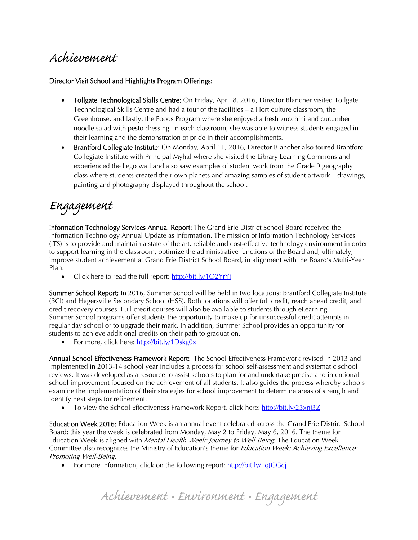## Achievement

#### Director Visit School and Highlights Program Offerings:

- Tollgate Technological Skills Centre: On Friday, April 8, 2016, Director Blancher visited Tollgate Technological Skills Centre and had a tour of the facilities – a Horticulture classroom, the Greenhouse, and lastly, the Foods Program where she enjoyed a fresh zucchini and cucumber noodle salad with pesto dressing. In each classroom, she was able to witness students engaged in their learning and the demonstration of pride in their accomplishments.
- Brantford Collegiate Institute: On Monday, April 11, 2016, Director Blancher also toured Brantford Collegiate Institute with Principal Myhal where she visited the Library Learning Commons and experienced the Lego wall and also saw examples of student work from the Grade 9 geography class where students created their own planets and amazing samples of student artwork – drawings, painting and photography displayed throughout the school.

# Engagement

Information Technology Services Annual Report: The Grand Erie District School Board received the Information Technology Annual Update as information. The mission of Information Technology Services (ITS) is to provide and maintain a state of the art, reliable and cost-effective technology environment in order to support learning in the classroom, optimize the administrative functions of the Board and, ultimately, improve student achievement at Grand Erie District School Board, in alignment with the Board's Multi-Year Plan.

• Click here to read the full report: http://bit.ly/1Q2YrYi

Summer School Report: In 2016, Summer School will be held in two locations: Brantford Collegiate Institute (BCI) and Hagersville Secondary School (HSS). Both locations will offer full credit, reach ahead credit, and credit recovery courses. Full credit courses will also be available to students through eLearning. Summer School programs offer students the opportunity to make up for unsuccessful credit attempts in regular day school or to upgrade their mark. In addition, Summer School provides an opportunity for students to achieve additional credits on their path to graduation.

• For more, click here: http://bit.ly/1Dskg0x

Annual School Effectiveness Framework Report: The School Effectiveness Framework revised in 2013 and implemented in 2013-14 school year includes a process for school self-assessment and systematic school reviews. It was developed as a resource to assist schools to plan for and undertake precise and intentional school improvement focused on the achievement of all students. It also guides the process whereby schools examine the implementation of their strategies for school improvement to determine areas of strength and identify next steps for refinement.

• To view the School Effectiveness Framework Report, click here: http://bit.ly/23xnj3Z

Education Week 2016: Education Week is an annual event celebrated across the Grand Erie District School Board; this year the week is celebrated from Monday, May 2 to Friday, May 6, 2016. The theme for Education Week is aligned with Mental Health Week: Journey to Well-Being. The Education Week Committee also recognizes the Ministry of Education's theme for Education Week: Achieving Excellence: Promoting Well-Being.

• For more information, click on the following report: http://bit.ly/1qJGGcj